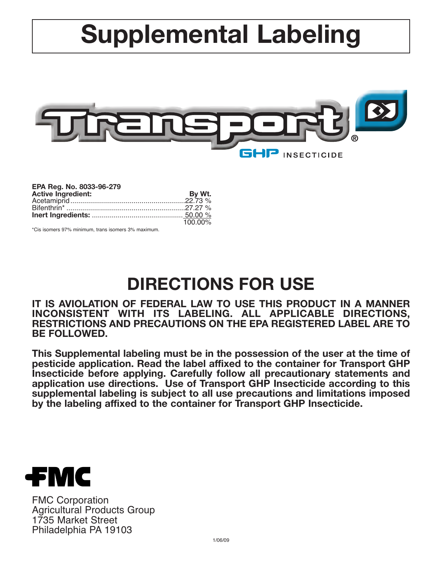# **Supplemental Labeling**



| EPA Reg. No. 8033-96-279  |         |
|---------------------------|---------|
| <b>Active Ingredient:</b> | By Wt.  |
|                           |         |
|                           |         |
|                           |         |
|                           | 100.00% |

\*Cis isomers 97% minimum, trans isomers 3% maximum.

## **DIRECTIONS FOR USE**

**IT IS AVIOLATION OF FEDERAL LAW TO USE THIS PRODUCT IN A MANNER INCONSISTENT WITH ITS LABELING. ALL APPLICABLE DIRECTIONS, RESTRICTIONS AND PRECAUTIONS ON THE EPA REGISTERED LABEL ARE TO BE FOLLOWED.**

**This Supplemental labeling must be in the possession of the user at the time of pesticide application. Read the label affixed to the container for Transport GHP Insecticide before applying. Carefully follow all precautionary statements and application use directions. Use of Transport GHP Insecticide according to this supplemental labeling is subject to all use precautions and limitations imposed by the labeling affixed to the container for Transport GHP Insecticide.**



FMC Corporation Agricultural Products Group 1735 Market Street Philadelphia PA 19103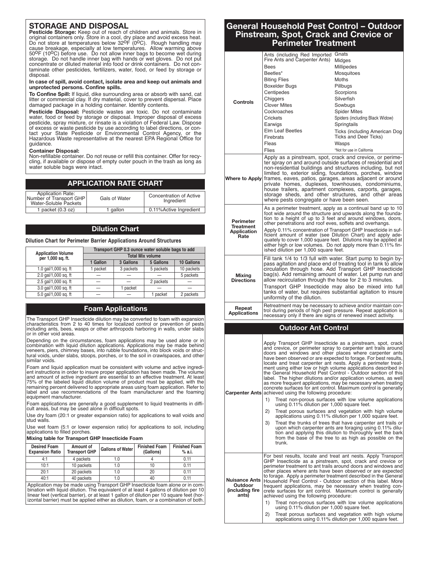#### **STORAGE AND DISPOSAL**

Pesticide Storage: Keep out of reach of children and animals. Store in original containers only. Store in a cool, dry place and avoid excess heat.<br>Do not store at temperatures below 32<sup>0</sup>F (0<sup>0</sup>C). Rough handling may cause breakage, especially at low temperatures. Allow warming above<br>50<sup>0</sup>F (10<sup>0</sup>C) before use. Do not allow inner bags to become wet during storage. Do not handle inner bag with hands or wet gloves. Do not put concentrate or diluted material into food or drink containers. Do not contaminate other pesticides, fertilizers, water, food, or feed by storage or disposal.

**In case of spill, avoid contact, isolate area and keep out animals and unprotected persons. Confine spills.**

**To Confine Spill:** If liquid, dike surrounding area or absorb with sand, cat litter or commercial clay. If dry material, cover to prevent dispersal. Place damaged package in a holding container. Identify contents.

Pesticide Disposal: Pesticide wastes are toxic. Do not contaminate water, food or feed by storage or disposal. Improper disposal of excess pesticide, spray mixture, or rinsate is a violation of Federal Law. Dispose of excess or waste pesticide by use according to label directions, or con-tact your State Pesticide or Environmental Control Agency, or the Hazardous Waste representative at the nearest EPA Regional Office for guidance.

#### **Container Disposal:**

Non-refillable container. Do not reuse or refill this container. Offer for recycling, if available or dispose of empty outer pouch in the trash as long as water soluble bags were intact.

| <b>APPLICATION RATE CHART.</b> |  |
|--------------------------------|--|
|--------------------------------|--|

| <b>Application Rate:</b><br>Number of Transport GHP<br>Water-Soluble Packets | Gals of Water | <b>Concentration of Active</b><br>Ingredient |
|------------------------------------------------------------------------------|---------------|----------------------------------------------|
| 1 packet $(0.3 oz)$                                                          | gallon        | 0.11% Active Ingredient                      |

#### **Dilution Chart**

#### **Dilution Chart for Perimeter Barrier Applications Around Structures**

| <b>Application Volume</b> | Transport GHP 0.3 ounce water soluble bags to add<br><b>Total Mix volume</b> |           |           |            |
|---------------------------|------------------------------------------------------------------------------|-----------|-----------|------------|
| per 1,000 sq. ft.         | 1 Gallon                                                                     | 3 Gallons | 5 Gallons | 10 Gallons |
| 1.0 gal/1,000 sq. ft      | 1 packet                                                                     | 3 packets | 5 packets | 10 packets |
| 2.0 gal/1,000 sq. ft      |                                                                              |           |           | 5 packets  |
| 2.5 gal/1,000 sq. ft      |                                                                              |           | 2 packets |            |
| 3.0 gal/1,000 sq. ft      |                                                                              | 1 packet  |           |            |
| 5.0 gal/1,000 sq. ft      |                                                                              |           | 1 packet  | 2 packets  |

#### **Foam Applications**

The Transport GHP Insecticide dilution may be converted to foam with expansior characteristics from 2 to 40 times for localized control or prevention of pests including ants, bees, wasps or other arthropods harboring in walls, under slabs or in other void areas.

Depending on the circumstances, foam applications may be used alone or in combination with liquid dilution applications. Applications may be made behind veneers, piers, chimney bases, into rubble foundations, into block voids or struc-tural voids, under slabs, stoops, porches, or to the soil in crawlspaces, and other similar voids.

Foam and liquid application must be consistent with volume and active ingredient instructions in order to insure proper application has been made. The volume and amount of active ingredient are essential to an effective treatment. At least 75% of the labeled liquid dilution volume of product must be applied, with the remaining percent delivered to appropriate areas using foam application. Refer to label and use recommendations of the foam manufacturer and the foaming equipment manufacturer.

Foam applications are generally a good supplement to liquid treatments in diffi-cult areas, but may be used alone in difficult spots.

Use dry foam (20:1 or greater expansion ratio) for applications to wall voids and stud walls.

Use wet foam (5:1 or lower expension ratio) for applications to soil, including applications to filled porches.

#### **Mixing table for Transport GHP Insecticide Foam**

| <b>Desired Foam</b><br><b>Expansion Ratio</b> | Amount of<br><b>Transport GHP</b> | <b>Gallons of Water</b> | <b>Finished Foam</b><br>(Gallons) | <b>Finished Foam</b><br>% a.i. |
|-----------------------------------------------|-----------------------------------|-------------------------|-----------------------------------|--------------------------------|
| 4:1                                           | 4 packets                         | 1.0                     |                                   | 0.11                           |
| 10:1                                          | 10 packets                        | 1.0                     |                                   | 0.11                           |
| 20:1                                          | 20 packets                        | 1.0                     | 20                                | 0.11                           |
| 40:1                                          | 40 packets                        | 1.0                     |                                   | 0.11                           |

Application may be made using Transport GHP Insecticide foam alone or in combination with liquid dilution. The equivalent of at least 4 gallons of dilution per 10 linear feet (vertical barrier), or at least 1 gallon of dilution per 10 square feet (horizontal barrier) must be applied either as dilution, foam, or a combination of both.

#### **General Household Pest Control – Outdoor Pinstream, Spot, Crack and Crevice or Perimeter Treatment**

|                                                                               | Ants (including Red Imported Gnats                                                                                                                                                                                                                                                                          |                                                                                                                                                                                                                                                                                                                                                                                                 |  |
|-------------------------------------------------------------------------------|-------------------------------------------------------------------------------------------------------------------------------------------------------------------------------------------------------------------------------------------------------------------------------------------------------------|-------------------------------------------------------------------------------------------------------------------------------------------------------------------------------------------------------------------------------------------------------------------------------------------------------------------------------------------------------------------------------------------------|--|
|                                                                               | Fire Ants and Carpenter Ants)                                                                                                                                                                                                                                                                               | Midges                                                                                                                                                                                                                                                                                                                                                                                          |  |
|                                                                               | Bees                                                                                                                                                                                                                                                                                                        | Millipedes                                                                                                                                                                                                                                                                                                                                                                                      |  |
|                                                                               | Beetles*                                                                                                                                                                                                                                                                                                    | Mosquitoes                                                                                                                                                                                                                                                                                                                                                                                      |  |
|                                                                               | <b>Biting Flies</b><br>Boxelder Bugs                                                                                                                                                                                                                                                                        | Moths<br>Pillbugs                                                                                                                                                                                                                                                                                                                                                                               |  |
|                                                                               | Centipedes                                                                                                                                                                                                                                                                                                  | Scorpions                                                                                                                                                                                                                                                                                                                                                                                       |  |
|                                                                               | Chiggers                                                                                                                                                                                                                                                                                                    | Silverfish                                                                                                                                                                                                                                                                                                                                                                                      |  |
| Controls                                                                      | <b>Clover Mites</b>                                                                                                                                                                                                                                                                                         | Sowbugs                                                                                                                                                                                                                                                                                                                                                                                         |  |
|                                                                               | Cockroaches                                                                                                                                                                                                                                                                                                 | <b>Spider Mites</b>                                                                                                                                                                                                                                                                                                                                                                             |  |
|                                                                               | Crickets                                                                                                                                                                                                                                                                                                    | Spiders (including Black Widow)                                                                                                                                                                                                                                                                                                                                                                 |  |
|                                                                               | Earwigs                                                                                                                                                                                                                                                                                                     | Springtails                                                                                                                                                                                                                                                                                                                                                                                     |  |
|                                                                               | Elm Leaf Beetles                                                                                                                                                                                                                                                                                            | Ticks (including American Dog                                                                                                                                                                                                                                                                                                                                                                   |  |
|                                                                               | Firebrats<br>Fleas                                                                                                                                                                                                                                                                                          | Ticks and Deer Ticks)<br>Wasps                                                                                                                                                                                                                                                                                                                                                                  |  |
|                                                                               | Flies                                                                                                                                                                                                                                                                                                       | *Not for use in California                                                                                                                                                                                                                                                                                                                                                                      |  |
|                                                                               | Apply as a pinstream, spot, crack and crevice, or perime-                                                                                                                                                                                                                                                   |                                                                                                                                                                                                                                                                                                                                                                                                 |  |
| <b>Where to Apply</b>                                                         | ter spray on and around outside surfaces of residential and<br>limited to, exterior siding, foundations, porches, window<br>frames, eaves, patios, garages, areas adjacent or around                                                                                                                        | non-residential buildings and structures including, but not                                                                                                                                                                                                                                                                                                                                     |  |
|                                                                               | private homes, duplexes, townhouses, condominiums,<br>house trailers, apartment complexes, carports, garages,<br>storage sheds, and other structures, and other areas<br>where pests congregate or have been seen.                                                                                          |                                                                                                                                                                                                                                                                                                                                                                                                 |  |
| Perimeter                                                                     | As a perimeter treatment, apply as a continual band up to 10<br>foot wide around the structure and upwards along the founda-<br>tion to a height of up to 3 feet and around windows, doors,<br>other penetrations and roof eves, soffets and overhangs.                                                     |                                                                                                                                                                                                                                                                                                                                                                                                 |  |
| <b>Treatment</b><br><b>Application</b><br>Rate                                | Apply 0.11% concentration of Transport GHP Insecticide in suf-<br>ficient amount of water (see Dilution Chart) and apply ade-                                                                                                                                                                               |                                                                                                                                                                                                                                                                                                                                                                                                 |  |
|                                                                               | quately to cover 1,000 square feet. Dilutions may be applied at<br>either high or low volumes. Do not apply more than 0.11% fin-<br>ished dilution per 1,000 square feet.                                                                                                                                   |                                                                                                                                                                                                                                                                                                                                                                                                 |  |
|                                                                               | Fill tank 1/4 to 1/3 full with water. Start pump to begin by-                                                                                                                                                                                                                                               |                                                                                                                                                                                                                                                                                                                                                                                                 |  |
|                                                                               | pass agitation and place end of treating tool in tank to allow                                                                                                                                                                                                                                              | circulation through hose. Add Transport GHP Insecticide                                                                                                                                                                                                                                                                                                                                         |  |
| <b>Mixing</b>                                                                 | bag(s). Add remaining amount of water. Let pump run and                                                                                                                                                                                                                                                     |                                                                                                                                                                                                                                                                                                                                                                                                 |  |
| allow recirculation through the hose for 2 to 3 minutes.<br><b>Directions</b> |                                                                                                                                                                                                                                                                                                             |                                                                                                                                                                                                                                                                                                                                                                                                 |  |
|                                                                               | Transport GHP Insecticide may also be mixed into full<br>tanks of water, but requires substantial agitation to insure<br>uniformity of the dilution.                                                                                                                                                        |                                                                                                                                                                                                                                                                                                                                                                                                 |  |
| Repeat<br><b>Applications</b>                                                 | Retreatment may be necessary to achieve and/or maintain con-<br>trol during periods of high pest pressure. Repeat application is<br>necessary only if there are signs of renewed insect activity.                                                                                                           |                                                                                                                                                                                                                                                                                                                                                                                                 |  |
|                                                                               |                                                                                                                                                                                                                                                                                                             |                                                                                                                                                                                                                                                                                                                                                                                                 |  |
|                                                                               | <b>Outdoor Ant Control</b>                                                                                                                                                                                                                                                                                  |                                                                                                                                                                                                                                                                                                                                                                                                 |  |
|                                                                               | have been observed or are expected to forage. For best results,<br>the General Household Pest Control - Outdoor section of this<br>as more frequent applications, may be necessary when treating                                                                                                            | Apply Transport GHP Insecticide as a pinstream, spot, crack<br>and crevice, or perimeter spray to carpenter ant trails around<br>doors and windows and other places where carpenter ants<br>locate and treat carpenter ant nests. Apply a perimeter treat-<br>ment using either low or high volume applications described in<br>label. The higher dilutions and/or application volumes, as well |  |
|                                                                               | <b>Carpenter Ants</b> achieved using the following procedure:                                                                                                                                                                                                                                               | concrete surfaces for ant control. Maximum control is generally                                                                                                                                                                                                                                                                                                                                 |  |
|                                                                               | 1)<br>using 0.11% dilution per 1,000 square feet.                                                                                                                                                                                                                                                           | Treat non-porous surfaces with low volume applications                                                                                                                                                                                                                                                                                                                                          |  |
|                                                                               | 2)                                                                                                                                                                                                                                                                                                          | Treat porous surfaces and vegetation with high volume                                                                                                                                                                                                                                                                                                                                           |  |
|                                                                               |                                                                                                                                                                                                                                                                                                             | applications using 0.11% dilution per 1,000 square feet.                                                                                                                                                                                                                                                                                                                                        |  |
|                                                                               | 3)                                                                                                                                                                                                                                                                                                          | Treat the trunks of trees that have carpenter ant trails or<br>upon which carpenter ants are foraging using 0.11% dilu-                                                                                                                                                                                                                                                                         |  |
|                                                                               |                                                                                                                                                                                                                                                                                                             | tion and applying this dilution to thoroughly wet the bark                                                                                                                                                                                                                                                                                                                                      |  |
|                                                                               | trunk.                                                                                                                                                                                                                                                                                                      | from the base of the tree to as high as possible on the                                                                                                                                                                                                                                                                                                                                         |  |
|                                                                               |                                                                                                                                                                                                                                                                                                             |                                                                                                                                                                                                                                                                                                                                                                                                 |  |
| <b>Nuisance Ants</b><br>Outdoor<br>(including fire<br>ants)                   | perimeter treatment to ant trails around doors and windows and<br>other places where ants have been observed or are expected<br>Household Pest Control - Outdoor section of this label. More<br>frequent applications, may be necessary when treating con-<br>achieved using the following procedure:<br>1) | For best results, locate and treat ant nests. Apply Transport<br>GHP Insecticide as a pinstream, spot, crack and crevice or<br>to forage. Apply a perimeter treatment described in the General<br>crete surfaces for ant control. Maximum control is generally<br>Treat non-porous surfaces with low volume applications                                                                        |  |
|                                                                               | using 0.11% dilution per 1,000 square feet.<br>2)                                                                                                                                                                                                                                                           | Treat porous surfaces and vegetation with high volume                                                                                                                                                                                                                                                                                                                                           |  |

2) Treat porous surfaces and vegetation with high volume applications using 0.11% dilution per 1,000 square feet.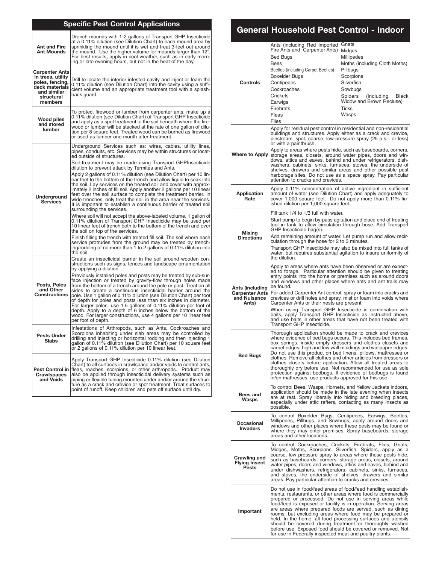| <b>Specific Pest Control Applications</b>                                                                        |                                                                                                                                                                                                                                                                                                                                                                                                                                                                                                                                                                                                                                           |  |  |
|------------------------------------------------------------------------------------------------------------------|-------------------------------------------------------------------------------------------------------------------------------------------------------------------------------------------------------------------------------------------------------------------------------------------------------------------------------------------------------------------------------------------------------------------------------------------------------------------------------------------------------------------------------------------------------------------------------------------------------------------------------------------|--|--|
| <b>Ant and Fire</b><br><b>Ant Mounds</b>                                                                         | Drench mounds with 1-2 gallons of Transport GHP Insecticide<br>at a 0.11% dilution (see Dilution Chart) to each mound area by<br>sprinkling the mound until it is wet and treat 3-feet out around<br>the mound. Use the higher volume for mounds larger than 12".<br>For best results, apply in cool weather, such as in early morn-<br>ing or late evening hours, but not in the heat of the day.                                                                                                                                                                                                                                        |  |  |
| Carpenter Ants<br>in trees, utility<br>poles, fencing,<br>deck materials<br>and similar<br>structural<br>members | Drill to locate the interior infested cavity and inject or foam the<br>0.11% dilution (see Dilution Chart) into the cavity using a suffi-<br>cient volume and an appropriate treatment tool with a splash-<br>back guard.                                                                                                                                                                                                                                                                                                                                                                                                                 |  |  |
| <b>Wood piles</b><br>and stored<br>lumber                                                                        | To protect firewood or lumber from carpenter ants, make up a<br>0.11% dilution (see Dilution Chart) of Transport GHP Insecticide<br>and apply as a spot treatment to the soil beneath where the fire-<br>wood or lumber will be stacked at the rate of one gallon of dilu-<br>tion per 8 square feet. Treated wood can be burned as firewood<br>or used as lumber one month after treatment.                                                                                                                                                                                                                                              |  |  |
|                                                                                                                  | Underground Services such as: wires, cables, utility lines,<br>pipes, conduits, etc. Services may be within structures or locat-<br>ed outside of structures.                                                                                                                                                                                                                                                                                                                                                                                                                                                                             |  |  |
|                                                                                                                  | Soil treatment may be made using Transport GHPInsecticide<br>dilution to prevent attack by Termites and Ants.                                                                                                                                                                                                                                                                                                                                                                                                                                                                                                                             |  |  |
| Underground<br><b>Services</b>                                                                                   | Apply 2 gallons of 0.11% dilution (see Dilution Chart) per 10 lin-<br>ear feet to the bottom of the trench and allow liquid to soak into<br>the soil. Lay services on the treated soil and cover with approx-<br>imately 2 inches of fill soil. Apply another 2 gallons per 10 linear<br>feet over the soil surface to complete the treatment barrier. In<br>wide trenches, only treat the soil in the area near the services.<br>It is important to establish a continuous barrier of treated soil<br>surrounding the services.                                                                                                          |  |  |
|                                                                                                                  | Where soil will not accept the above-labeled volume, 1 gallon of<br>0.11% dilution of Transport GHP Insecticide may be used per<br>10 linear feet of trench both to the bottom of the trench and over<br>the soil on top of the services.                                                                                                                                                                                                                                                                                                                                                                                                 |  |  |
|                                                                                                                  | Finish filling the trench with treated fill soil. The soil where each<br>service protrudes from the ground may be treated by trench-<br>ing/rodding of no more than 1 to 2 gallons of 0.11% dilution into<br>the soil.                                                                                                                                                                                                                                                                                                                                                                                                                    |  |  |
|                                                                                                                  | Create an insecticidal barrier in the soil around wooden con-<br>structions such as signs, fences and landscape ornamentation<br>by applying a dilution.                                                                                                                                                                                                                                                                                                                                                                                                                                                                                  |  |  |
| Posts, Poles<br>and Other<br><b>Constructions</b>                                                                | Previously installed poles and posts may be treated by sub-sur-<br>face injection or treated by gravity-flow through holes made<br>from the bottom of a trench around the pole or post. Treat on all<br>sides to create a continuous insecticidal barrier around the<br>pole. Use 1 gallon of 0.11% dilution (see Dilution Chart) per foot<br>of depth for poles and posts less than six inches in diameter.<br>For larger poles, use 1.5 gallons of 0.11% dilution per foot of<br>depth. Apply to a depth of 6 inches below the bottom of the<br>wood. For larger constructions, use 4 gallons per 10 linear feet <br>per foot of depth. |  |  |
| <b>Pests Under</b><br>Slabs                                                                                      | Infestations of Arthropods, such as Ants, Cockroaches and<br>Scorpions inhabiting under slab areas may be controlled by<br>drilling and injecting or horizontal rodding and then injecting 1<br>gallon of 0.11% dilution (see Dilution Chart) per 10 square feet<br>or 2 gallons of 0.11% dilution per 10 linear feet.                                                                                                                                                                                                                                                                                                                    |  |  |
| <b>Pest Control in</b><br><b>Crawlspaces</b><br>and Voids                                                        | Apply Transport GHP Insecticide 0.11% dilution (see Dilution)<br>Chart) to all surfaces in crawlspace and/or voids to control ants,<br>fleas, roaches, scorpions, or other arthropods. Product may<br>also be applied through insecticidal delivery systems such as<br>piping or flexible tubing mounted under and/or around the struc-<br>ture as a crack and crevice or spot treatment. Treat surfaces to<br>point of runoff. Keep children and pets off surface until dry.                                                                                                                                                             |  |  |

### **General Household Pest Control - Indoor**

| Controls                                                                                                                                                                                                                                                                                                                                                                                                                                                                                                                                                                                                                                                 | Ants (including Red Imported Gnats<br>Fire Ants and Carpenter Ants) Midges<br>Bed Bugs<br><b>Bees</b><br>Beetles (including Carpet Beetles)<br><b>Boxelder Bugs</b><br>Centipedes<br>Cockroaches<br>Crickets<br>Earwigs<br>Firebrats<br>Fleas<br>Flies                                                                                                                                                                                                                                                                                                                                                                                                                                                                                                                                                                                                                                                                                                                                                                                                                                                                                                                                                                                                                                                                                                                                                                                                                                                                                                                                                                     | Millipedes<br>Moths (including Cloth Moths)<br>Pillbugs<br>Scorpions<br>Silverfish<br>Sowbugs<br>Spiders<br>(including)<br>Black<br>Widow and Brown Recluse)<br>Ticks<br>Wasps |
|----------------------------------------------------------------------------------------------------------------------------------------------------------------------------------------------------------------------------------------------------------------------------------------------------------------------------------------------------------------------------------------------------------------------------------------------------------------------------------------------------------------------------------------------------------------------------------------------------------------------------------------------------------|----------------------------------------------------------------------------------------------------------------------------------------------------------------------------------------------------------------------------------------------------------------------------------------------------------------------------------------------------------------------------------------------------------------------------------------------------------------------------------------------------------------------------------------------------------------------------------------------------------------------------------------------------------------------------------------------------------------------------------------------------------------------------------------------------------------------------------------------------------------------------------------------------------------------------------------------------------------------------------------------------------------------------------------------------------------------------------------------------------------------------------------------------------------------------------------------------------------------------------------------------------------------------------------------------------------------------------------------------------------------------------------------------------------------------------------------------------------------------------------------------------------------------------------------------------------------------------------------------------------------------|--------------------------------------------------------------------------------------------------------------------------------------------------------------------------------|
| <b>Where to Apply</b>                                                                                                                                                                                                                                                                                                                                                                                                                                                                                                                                                                                                                                    | Apply for residual pest control in residential and non-residential<br>buildings and structures. Apply either as a crack and crevice,<br>pinstream, spot, coarse, low-pressure spray (25 p.s.i. or less)<br>or with a paintbrush.<br>Apply to areas where pests hide, such as baseboards, corners,<br>storage areas, closets, around water pipes, doors and win-<br>dows, attics and eaves, behind and under refrigerators, dish-<br>washers, cabinets, sinks, furnaces, stoves, the underside of shelves, drawers and similar areas and other possible pest<br>harborage sites. Do not use as a space spray. Pay particular<br>attention to cracks and crevices.                                                                                                                                                                                                                                                                                                                                                                                                                                                                                                                                                                                                                                                                                                                                                                                                                                                                                                                                                           |                                                                                                                                                                                |
| <b>Application</b><br>Rate                                                                                                                                                                                                                                                                                                                                                                                                                                                                                                                                                                                                                               | Apply 0.11% concentration of active ingredient in sufficient<br>amount of water (see Dilution Chart) and apply adequately to<br>cover 1,000 square feet. Do not apply more than 0.11% fin-<br>ished dilution per 1,000 square feet.                                                                                                                                                                                                                                                                                                                                                                                                                                                                                                                                                                                                                                                                                                                                                                                                                                                                                                                                                                                                                                                                                                                                                                                                                                                                                                                                                                                        |                                                                                                                                                                                |
| Mixing<br><b>Directions</b>                                                                                                                                                                                                                                                                                                                                                                                                                                                                                                                                                                                                                              | Fill tank 1/4 to 1/3 full with water.<br>Start pump to begin by-pass agitation and place end of treating<br>tool in tank to allow circulation through hose. Add Transport<br>GHP Insecticide bag(s).<br>Add remaining amount of water. Let pump run and allow recir-<br>culation through the hose for 2 to 3 minutes.<br>Transport GHP Insecticide may also be mixed into full tanks of<br>water, but requires substantial agitation to insure uniformity of<br>the dilution.                                                                                                                                                                                                                                                                                                                                                                                                                                                                                                                                                                                                                                                                                                                                                                                                                                                                                                                                                                                                                                                                                                                                              |                                                                                                                                                                                |
| Ants (including<br><b>Carpenter Ants</b><br>and Nuisance<br>Ants)                                                                                                                                                                                                                                                                                                                                                                                                                                                                                                                                                                                        | Apply to areas where ants have been observed or are expect-<br>ed to forage. Particular attention should be given to treating<br>entry points into the home or premises such as around doors<br>and windows and other places where ants and ant trails may<br>be found.<br>For added Carpenter Ant control, spray or foam into cracks and<br>crevices or drill holes and spray, mist or foam into voids where<br>Carpenter Ants or their nests are present.<br>When using Transport GHP Insecticide in combination with<br>baits, apply Transport GHP Insecticide as instructed above,<br>and use baits in other areas that have not been treated with<br>Transport GHP Insecticide.<br>Thorough application should be made to crack and crevices<br>where evidence of bed bugs occurs. This includes bed frames,<br>box springs, inside empty dressers and clothes closets and<br>carpet edges, high and low wall moldings and wallpaper edges.<br>Do not use this product on bed linens, pillows, mattresses or<br>clothes. Remove all clothes and other articles from dressers or<br>clothes closets before application. Allow all treated areas to<br>thoroughly dry before use. Not recommended for use as sole<br>protection against bedbugs. If evidence of bedbugs is found<br>in/on mattresses, use products approved for this use.<br>To control Bees, Wasps, Hornets, and Yellow Jackets indoors,<br>application should be made in the late evening when insects<br>are at rest. Spray liberally into hiding and breeding places,<br>especially under attic rafters, contacting as many insects as<br>possible. |                                                                                                                                                                                |
| <b>Bed Buas</b>                                                                                                                                                                                                                                                                                                                                                                                                                                                                                                                                                                                                                                          |                                                                                                                                                                                                                                                                                                                                                                                                                                                                                                                                                                                                                                                                                                                                                                                                                                                                                                                                                                                                                                                                                                                                                                                                                                                                                                                                                                                                                                                                                                                                                                                                                            |                                                                                                                                                                                |
| <b>Bees and</b><br>Wasps                                                                                                                                                                                                                                                                                                                                                                                                                                                                                                                                                                                                                                 |                                                                                                                                                                                                                                                                                                                                                                                                                                                                                                                                                                                                                                                                                                                                                                                                                                                                                                                                                                                                                                                                                                                                                                                                                                                                                                                                                                                                                                                                                                                                                                                                                            |                                                                                                                                                                                |
| Occasional<br><b>Invaders</b>                                                                                                                                                                                                                                                                                                                                                                                                                                                                                                                                                                                                                            | To control Boxelder Bugs, Centipedes, Earwigs, Beetles,<br>Millipedes, Pillbugs, and Sowbugs, apply around doors and<br>windows and other places where these pests may be found or<br>where they may enter premises. Spray baseboards, storage<br>areas and other locations.                                                                                                                                                                                                                                                                                                                                                                                                                                                                                                                                                                                                                                                                                                                                                                                                                                                                                                                                                                                                                                                                                                                                                                                                                                                                                                                                               |                                                                                                                                                                                |
| Crawling and<br><b>Flying Insect</b><br>Pests                                                                                                                                                                                                                                                                                                                                                                                                                                                                                                                                                                                                            | To control Cockroaches, Crickets, Firebrats, Flies, Gnats,<br>Midges, Moths, Scorpions, Silverfish, Spiders, apply as a<br>coarse, low pressure spray to areas where these pests hide,<br>such as baseboards, corners, storage areas, closets, around<br>water pipes, doors and windows, attics and eaves, behind and<br>under dishwashers, refrigerators, cabinets, sinks, furnaces,<br>and stoves, the underside of shelves, drawers and similar<br>areas. Pay particular attention to cracks and crevices.                                                                                                                                                                                                                                                                                                                                                                                                                                                                                                                                                                                                                                                                                                                                                                                                                                                                                                                                                                                                                                                                                                              |                                                                                                                                                                                |
| Do not use in food/feed areas of food/feed handling establish-<br>ments, restaurants, or other areas where food is commercially<br>prepared or processed. Do not use in serving areas while<br>food/feed is exposed or facility is in operation. Serving areas<br>are areas where prepared foods are served, such as dining<br>Important<br>rooms, but excluding areas where food may be prepared or<br>held. In the home, all food processing surfaces and utensils<br>should be covered during treatment or thoroughly washed<br>before use. Exposed food should be covered or removed. Not<br>for use in Federally inspected meat and poultry plants. |                                                                                                                                                                                                                                                                                                                                                                                                                                                                                                                                                                                                                                                                                                                                                                                                                                                                                                                                                                                                                                                                                                                                                                                                                                                                                                                                                                                                                                                                                                                                                                                                                            |                                                                                                                                                                                |